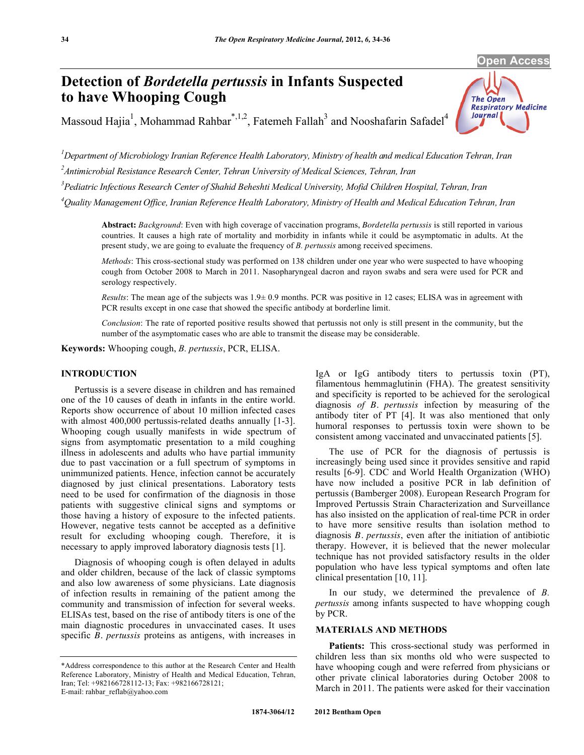**Open Access** 

**Respiratory Medicine** 

The Open

**Journal** 

# **Detection of** *Bordetella pertussis* **in Infants Suspected to have Whooping Cough**

Massoud Hajia<sup>1</sup>, Mohammad Rahbar<sup>\*,1,2</sup>, Fatemeh Fallah<sup>3</sup> and Nooshafarin Safadel<sup>4</sup>

*1 Department of Microbiology Iranian Reference Health Laboratory, Ministry of health and medical Education Tehran, Iran 2 Antimicrobial Resistance Research Center, Tehran University of Medical Sciences, Tehran, Iran* 

*3 Pediatric Infectious Research Center of Shahid Beheshti Medical University, Mofid Children Hospital, Tehran, Iran* 

*4 Quality Management Office, Iranian Reference Health Laboratory, Ministry of Health and Medical Education Tehran, Iran* 

**Abstract:** *Background*: Even with high coverage of vaccination programs, *Bordetella pertussis* is still reported in various countries. It causes a high rate of mortality and morbidity in infants while it could be asymptomatic in adults. At the present study, we are going to evaluate the frequency of *B. pertussis* among received specimens.

*Methods*: This cross-sectional study was performed on 138 children under one year who were suspected to have whooping cough from October 2008 to March in 2011. Nasopharyngeal dacron and rayon swabs and sera were used for PCR and serology respectively.

*Results*: The mean age of the subjects was 1.9± 0.9 months. PCR was positive in 12 cases; ELISA was in agreement with PCR results except in one case that showed the specific antibody at borderline limit.

*Conclusion*: The rate of reported positive results showed that pertussis not only is still present in the community, but the number of the asymptomatic cases who are able to transmit the disease may be considerable.

**Keywords:** Whooping cough, *B. pertussis*, PCR, ELISA.

# **INTRODUCTION**

 Pertussis is a severe disease in children and has remained one of the 10 causes of death in infants in the entire world. Reports show occurrence of about 10 million infected cases with almost 400,000 pertussis-related deaths annually [1-3]. Whooping cough usually manifests in wide spectrum of signs from asymptomatic presentation to a mild coughing illness in adolescents and adults who have partial immunity due to past vaccination or a full spectrum of symptoms in unimmunized patients. Hence, infection cannot be accurately diagnosed by just clinical presentations. Laboratory tests need to be used for confirmation of the diagnosis in those patients with suggestive clinical signs and symptoms or those having a history of exposure to the infected patients. However, negative tests cannot be accepted as a definitive result for excluding whooping cough. Therefore, it is necessary to apply improved laboratory diagnosis tests [1].

 Diagnosis of whooping cough is often delayed in adults and older children, because of the lack of classic symptoms and also low awareness of some physicians. Late diagnosis of infection results in remaining of the patient among the community and transmission of infection for several weeks. ELISAs test, based on the rise of antibody titers is one of the main diagnostic procedures in unvaccinated cases. It uses specific *B. pertussis* proteins as antigens, with increases in

IgA or IgG antibody titers to pertussis toxin (PT), filamentous hemmaglutinin (FHA). The greatest sensitivity and specificity is reported to be achieved for the serological diagnosis *of B. pertussis* infection by measuring of the antibody titer of PT [4]. It was also mentioned that only humoral responses to pertussis toxin were shown to be consistent among vaccinated and unvaccinated patients [5].

 The use of PCR for the diagnosis of pertussis is increasingly being used since it provides sensitive and rapid results [6-9]. CDC and World Health Organization (WHO) have now included a positive PCR in lab definition of pertussis (Bamberger 2008). European Research Program for Improved Pertussis Strain Characterization and Surveillance has also insisted on the application of real-time PCR in order to have more sensitive results than isolation method to diagnosis *B. pertussis*, even after the initiation of antibiotic therapy. However, it is believed that the newer molecular technique has not provided satisfactory results in the older population who have less typical symptoms and often late clinical presentation [10, 11].

 In our study, we determined the prevalence of *B. pertussis* among infants suspected to have whopping cough by PCR.

# **MATERIALS AND METHODS**

Patients: This cross-sectional study was performed in children less than six months old who were suspected to have whooping cough and were referred from physicians or other private clinical laboratories during October 2008 to March in 2011. The patients were asked for their vaccination

<sup>\*</sup>Address correspondence to this author at the Research Center and Health Reference Laboratory, Ministry of Health and Medical Education, Tehran, Iran; Tel: +982166728112-13; Fax: +982166728121; E-mail: rahbar\_reflab@yahoo.com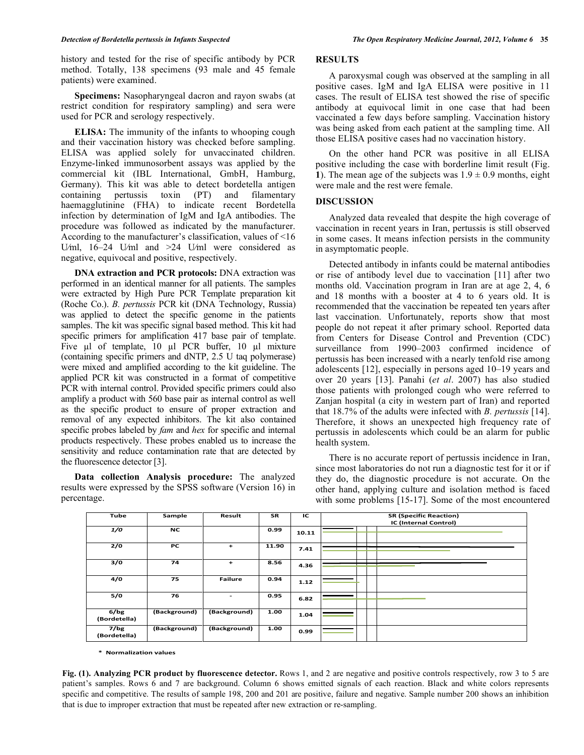history and tested for the rise of specific antibody by PCR method. Totally, 138 specimens (93 male and 45 female patients) were examined.

 **Specimens:** Nasopharyngeal dacron and rayon swabs (at restrict condition for respiratory sampling) and sera were used for PCR and serology respectively.

 **ELISA:** The immunity of the infants to whooping cough and their vaccination history was checked before sampling. ELISA was applied solely for unvaccinated children. Enzyme-linked immunosorbent assays was applied by the commercial kit (IBL International, GmbH, Hamburg, Germany). This kit was able to detect bordetella antigen containing pertussis toxin (PT) and filamentary haemagglutinine (FHA) to indicate recent Bordetella infection by determination of IgM and IgA antibodies. The procedure was followed as indicated by the manufacturer. According to the manufacturer's classification, values of <16 U⁄ml, 16–24 U⁄ml and >24 U⁄ml were considered as negative, equivocal and positive, respectively.

 **DNA extraction and PCR protocols:** DNA extraction was performed in an identical manner for all patients. The samples were extracted by High Pure PCR Template preparation kit (Roche Co.). *B. pertussis* PCR kit (DNA Technology, Russia) was applied to detect the specific genome in the patients samples. The kit was specific signal based method. This kit had specific primers for amplification 417 base pair of template. Five  $\mu$ l of template, 10  $\mu$ l PCR buffer, 10  $\mu$ l mixture (containing specific primers and dNTP, 2.5 U taq polymerase) were mixed and amplified according to the kit guideline. The applied PCR kit was constructed in a format of competitive PCR with internal control. Provided specific primers could also amplify a product with 560 base pair as internal control as well as the specific product to ensure of proper extraction and removal of any expected inhibitors. The kit also contained specific probes labeled by *fam* and *hex* for specific and internal products respectively. These probes enabled us to increase the sensitivity and reduce contamination rate that are detected by the fluorescence detector [3].

 **Data collection Analysis procedure:** The analyzed results were expressed by the SPSS software (Version 16) in percentage.

### **RESULTS**

 A paroxysmal cough was observed at the sampling in all positive cases. IgM and IgA ELISA were positive in 11 cases. The result of ELISA test showed the rise of specific antibody at equivocal limit in one case that had been vaccinated a few days before sampling. Vaccination history was being asked from each patient at the sampling time. All those ELISA positive cases had no vaccination history.

 On the other hand PCR was positive in all ELISA positive including the case with borderline limit result (Fig. **1**). The mean age of the subjects was  $1.9 \pm 0.9$  months, eight were male and the rest were female.

#### **DISCUSSION**

 Analyzed data revealed that despite the high coverage of vaccination in recent years in Iran, pertussis is still observed in some cases. It means infection persists in the community in asymptomatic people.

 Detected antibody in infants could be maternal antibodies or rise of antibody level due to vaccination [11] after two months old. Vaccination program in Iran are at age 2, 4, 6 and 18 months with a booster at 4 to 6 years old. It is recommended that the vaccination be repeated ten years after last vaccination. Unfortunately, reports show that most people do not repeat it after primary school. Reported data from Centers for Disease Control and Prevention (CDC) surveillance from 1990–2003 confirmed incidence of pertussis has been increased with a nearly tenfold rise among adolescents [12], especially in persons aged 10–19 years and over 20 years [13]. Panahi (*et al*. 2007) has also studied those patients with prolonged cough who were referred to Zanjan hospital (a city in western part of Iran) and reported that 18.7% of the adults were infected with *B. pertussis* [14]. Therefore, it shows an unexpected high frequency rate of pertussis in adolescents which could be an alarm for public health system.

 There is no accurate report of pertussis incidence in Iran, since most laboratories do not run a diagnostic test for it or if they do, the diagnostic procedure is not accurate. On the other hand, applying culture and isolation method is faced with some problems [15-17]. Some of the most encountered

| Tube                 | Sample       | Result                   | <b>SR</b> | IC    | <b>SR (Specific Reaction)</b><br>IC (Internal Control) |
|----------------------|--------------|--------------------------|-----------|-------|--------------------------------------------------------|
| 1/0                  | <b>NC</b>    |                          | 0.99      | 10.11 |                                                        |
| 2/0                  | PC           | $\ddot{}$                | 11.90     | 7.41  |                                                        |
| 3/0                  | 74           | $\ddot{}$                | 8.56      | 4.36  |                                                        |
| 4/0                  | 75           | <b>Failure</b>           | 0.94      | 1.12  |                                                        |
| 5/0                  | 76           | $\overline{\phantom{a}}$ | 0.95      | 6.82  |                                                        |
| 6/bg<br>(Bordetella) | (Background) | (Background)             | 1.00      | 1.04  |                                                        |
| 7/bg<br>(Bordetella) | (Background) | (Background)             | 1.00      | 0.99  |                                                        |

**\* Normalization values**

Fig. (1). Analyzing PCR product by fluorescence detector. Rows 1, and 2 are negative and positive controls respectively, row 3 to 5 are patient's samples. Rows 6 and 7 are background. Column 6 shows emitted signals of each reaction. Black and white colors represents specific and competitive. The results of sample 198, 200 and 201 are positive, failure and negative. Sample number 200 shows an inhibition that is due to improper extraction that must be repeated after new extraction or re-sampling.